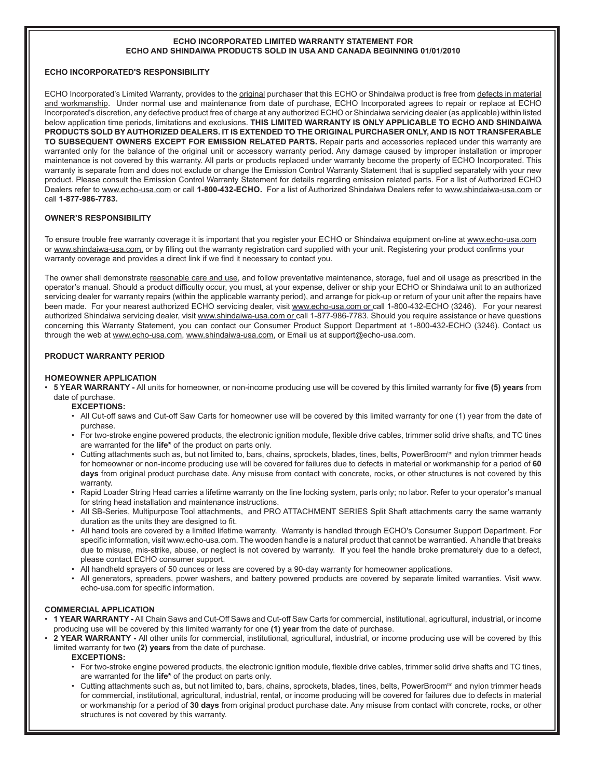## **ECHO INCORPORATED LIMITED WARRANTY STATEMENT FOR ECHO AND SHINDAIWA PRODUCTS SOLD IN USA AND CANADA BEGINNING 01/01/2010**

#### **ECHO INCORPORATED'S RESPONSIBILITY**

ECHO Incorporated's Limited Warranty, provides to the original purchaser that this ECHO or Shindaiwa product is free from defects in material and workmanship. Under normal use and maintenance from date of purchase, ECHO Incorporated agrees to repair or replace at ECHO Incorporated's discretion, any defective product free of charge at any authorized ECHO or Shindaiwa servicing dealer (as applicable) within listed below application time periods, limitations and exclusions. **THIS LIMITED WARRANTY IS ONLY APPLICABLE TO ECHO AND SHINDAIWA PRODUCTS SOLD BY AUTHORIZED DEALERS. IT IS EXTENDED TO THE ORIGINAL PURCHASER ONLY, AND IS NOT TRANSFERABLE TO SUBSEQUENT OWNERS EXCEPT FOR EMISSION RELATED PARTS.** Repair parts and accessories replaced under this warranty are warranted only for the balance of the original unit or accessory warranty period. Any damage caused by improper installation or improper maintenance is not covered by this warranty. All parts or products replaced under warranty become the property of ECHO Incorporated. This warranty is separate from and does not exclude or change the Emission Control Warranty Statement that is supplied separately with your new product. Please consult the Emission Control Warranty Statement for details regarding emission related parts. For a list of Authorized ECHO Dealers refer to www.echo-usa.com or call **1-800-432-ECHO.** For a list of Authorized Shindaiwa Dealers refer to www.shindaiwa-usa.com or call **1-877-986-7783.**

## **OWNER'S RESPONSIBILITY**

To ensure trouble free warranty coverage it is important that you register your ECHO or Shindaiwa equipment on-line at www.echo-usa.com or www.shindaiwa-usa.com, or by filling out the warranty registration card supplied with your unit. Registering your product confirms your warranty coverage and provides a direct link if we find it necessary to contact you.

The owner shall demonstrate reasonable care and use, and follow preventative maintenance, storage, fuel and oil usage as prescribed in the operator's manual. Should a product difficulty occur, you must, at your expense, deliver or ship your ECHO or Shindaiwa unit to an authorized servicing dealer for warranty repairs (within the applicable warranty period), and arrange for pick-up or return of your unit after the repairs have been made. For your nearest authorized ECHO servicing dealer, visit www.echo-usa.com or call 1-800-432-ECHO (3246). For your nearest authorized Shindaiwa servicing dealer, visit www.shindaiwa-usa.com or call 1-877-986-7783. Should you require assistance or have questions concerning this Warranty Statement, you can contact our Consumer Product Support Department at 1-800-432-ECHO (3246). Contact us through the web at www.echo-usa.com, www.shindaiwa-usa.com, or Email us at support@echo-usa.com.

## **PRODUCT WARRANTY PERIOD**

#### **HOMEOWNER APPLICATION**

- **5 YEAR WARRANTY** All units for homeowner, or non-income producing use will be covered by this limited warranty for **five (5) years** from date of purchase.
	- **EXCEPTIONS:**
	- All Cut-off saws and Cut-off Saw Carts for homeowner use will be covered by this limited warranty for one (1) year from the date of purchase.
	- For two-stroke engine powered products, the electronic ignition module, flexible drive cables, trimmer solid drive shafts, and TC tines are warranted for the **life\*** of the product on parts only.
	- Cutting attachments such as, but not limited to, bars, chains, sprockets, blades, tines, belts, PowerBroom<sup>tm</sup> and nylon trimmer heads for homeowner or non-income producing use will be covered for failures due to defects in material or workmanship for a period of **60 days** from original product purchase date. Any misuse from contact with concrete, rocks, or other structures is not covered by this warranty.
	- Rapid Loader String Head carries a lifetime warranty on the line locking system, parts only; no labor. Refer to your operator's manual for string head installation and maintenance instructions.
	- All SB-Series, Multipurpose Tool attachments, and PRO ATTACHMENT SERIES Split Shaft attachments carry the same warranty duration as the units they are designed to fit.
	- All hand tools are covered by a limited lifetime warranty. Warranty is handled through ECHO's Consumer Support Department. For specific information, visit www.echo-usa.com. The wooden handle is a natural product that cannot be warrantied. A handle that breaks due to misuse, mis-strike, abuse, or neglect is not covered by warranty. If you feel the handle broke prematurely due to a defect, please contact ECHO consumer support.
	- All handheld sprayers of 50 ounces or less are covered by a 90-day warranty for homeowner applications.
	- All generators, spreaders, power washers, and battery powered products are covered by separate limited warranties. Visit www. echo-usa.com for specific information.

#### **COMMERCIAL APPLICATION**

- **1 YEAR WARRANTY** All Chain Saws and Cut-Off Saws and Cut-off Saw Carts for commercial, institutional, agricultural, industrial, or income producing use will be covered by this limited warranty for one **(1) year** from the date of purchase.
- **2 YEAR WARRANTY** All other units for commercial, institutional, agricultural, industrial, or income producing use will be covered by this limited warranty for two **(2) years** from the date of purchase.

**EXCEPTIONS:** 

- For two-stroke engine powered products, the electronic ignition module, flexible drive cables, trimmer solid drive shafts and TC tines, are warranted for the **life\*** of the product on parts only.
- Cutting attachments such as, but not limited to, bars, chains, sprockets, blades, tines, belts, PowerBroom<sup>tm</sup> and nylon trimmer heads for commercial, institutional, agricultural, industrial, rental, or income producing will be covered for failures due to defects in material or workmanship for a period of **30 days** from original product purchase date. Any misuse from contact with concrete, rocks, or other structures is not covered by this warranty.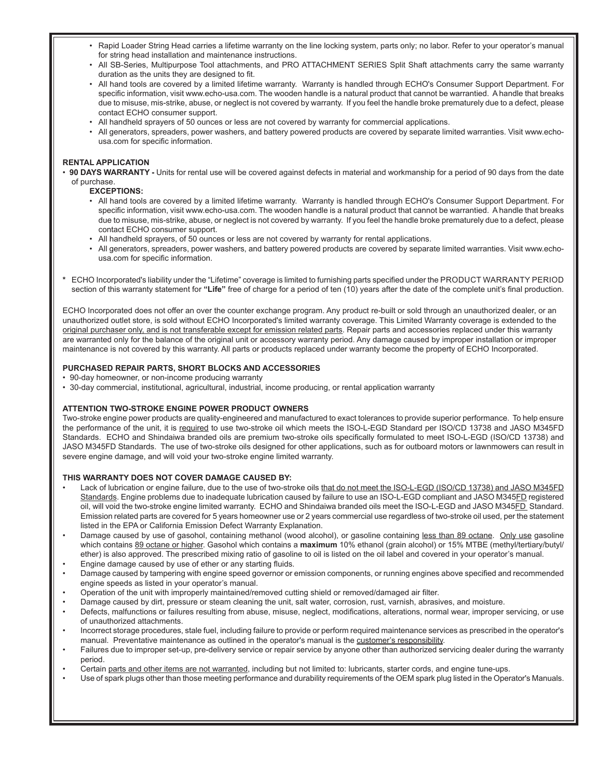- Rapid Loader String Head carries a lifetime warranty on the line locking system, parts only; no labor. Refer to your operator's manual for string head installation and maintenance instructions.
- All SB-Series, Multipurpose Tool attachments, and PRO ATTACHMENT SERIES Split Shaft attachments carry the same warranty duration as the units they are designed to fit.
- All hand tools are covered by a limited lifetime warranty. Warranty is handled through ECHO's Consumer Support Department. For specific information, visit www.echo-usa.com. The wooden handle is a natural product that cannot be warrantied. A handle that breaks due to misuse, mis-strike, abuse, or neglect is not covered by warranty. If you feel the handle broke prematurely due to a defect, please contact ECHO consumer support.
- All handheld sprayers of 50 ounces or less are not covered by warranty for commercial applications.
- All generators, spreaders, power washers, and battery powered products are covered by separate limited warranties. Visit www.echousa.com for specific information.

## **RENTAL APPLICATION**

- **90 DAYS WARRANTY** Units for rental use will be covered against defects in material and workmanship for a period of 90 days from the date of purchase.
	- **EXCEPTIONS:** 
		- All hand tools are covered by a limited lifetime warranty. Warranty is handled through ECHO's Consumer Support Department. For specific information, visit www.echo-usa.com. The wooden handle is a natural product that cannot be warrantied. A handle that breaks due to misuse, mis-strike, abuse, or neglect is not covered by warranty. If you feel the handle broke prematurely due to a defect, please contact ECHO consumer support.
		- All handheld sprayers, of 50 ounces or less are not covered by warranty for rental applications.
		- All generators, spreaders, power washers, and battery powered products are covered by separate limited warranties. Visit www.echousa.com for specific information.
- **\*** ECHO Incorporated's liability under the "Lifetime" coverage is limited to furnishing parts specified under the PRODUCT WARRANTY PERIOD section of this warranty statement for **"Life"** free of charge for a period of ten (10) years after the date of the complete unit's final production.

ECHO Incorporated does not offer an over the counter exchange program. Any product re-built or sold through an unauthorized dealer, or an unauthorized outlet store, is sold without ECHO Incorporated's limited warranty coverage. This Limited Warranty coverage is extended to the original purchaser only, and is not transferable except for emission related parts. Repair parts and accessories replaced under this warranty are warranted only for the balance of the original unit or accessory warranty period. Any damage caused by improper installation or improper maintenance is not covered by this warranty. All parts or products replaced under warranty become the property of ECHO Incorporated.

#### **PURCHASED REPAIR PARTS, SHORT BLOCKS AND ACCESSORIES**

- 90-day homeowner, or non-income producing warranty
- 30-day commercial, institutional, agricultural, industrial, income producing, or rental application warranty

#### **ATTENTION TWO-STROKE ENGINE POWER PRODUCT OWNERS**

Two-stroke engine power products are quality-engineered and manufactured to exact tolerances to provide superior performance. To help ensure the performance of the unit, it is required to use two-stroke oil which meets the ISO-L-EGD Standard per ISO/CD 13738 and JASO M345FD Standards.ECHO and Shindaiwa branded oils are premium two-stroke oils specifically formulated to meet ISO-L-EGD (ISO/CD 13738) and JASO M345FD Standards. The use of two-stroke oils designed for other applications, such as for outboard motors or lawnmowers can result in severe engine damage, and will void your two-stroke engine limited warranty.

#### **THIS WARRANTY DOES NOT COVER DAMAGE CAUSED BY:**

- Lack of lubrication or engine failure, due to the use of two-stroke oils that do not meet the ISO-L-EGD (ISO/CD 13738) and JASO M345FD Standards. Engine problems due to inadequate lubrication caused by failure to use an ISO-L-EGD compliant and JASO M345FD registered oil, will void the two-stroke engine limited warranty. ECHO and Shindaiwa branded oils meet the ISO-L-EGD and JASO M345FD Standard. Emission related parts are covered for 5 years homeowner use or 2 years commercial use regardless of two-stroke oil used, per the statement listed in the EPA or California Emission Defect Warranty Explanation.
- Damage caused by use of gasohol, containing methanol (wood alcohol), or gasoline containing less than 89 octane. Only use gasoline which contains 89 octane or higher. Gasohol which contains a **maximum** 10% ethanol (grain alcohol) or 15% MTBE (methyl/tertiary/butyl/ ether) is also approved. The prescribed mixing ratio of gasoline to oil is listed on the oil label and covered in your operator's manual.
- Engine damage caused by use of ether or any starting fluids.
- Damage caused by tampering with engine speed governor or emission components, or running engines above specified and recommended engine speeds as listed in your operator's manual.
- Operation of the unit with improperly maintained/removed cutting shield or removed/damaged air filter.
- Damage caused by dirt, pressure or steam cleaning the unit, salt water, corrosion, rust, varnish, abrasives, and moisture.
- Defects, malfunctions or failures resulting from abuse, misuse, neglect, modifications, alterations, normal wear, improper servicing, or use of unauthorized attachments.
- Incorrect storage procedures, stale fuel, including failure to provide or perform required maintenance services as prescribed in the operator's manual. Preventative maintenance as outlined in the operator's manual is the customer's responsibility.
- Failures due to improper set-up, pre-delivery service or repair service by anyone other than authorized servicing dealer during the warranty period.
- Certain parts and other items are not warranted, including but not limited to: lubricants, starter cords, and engine tune-ups.
- Use of spark plugs other than those meeting performance and durability requirements of the OEM spark plug listed in the Operator's Manuals.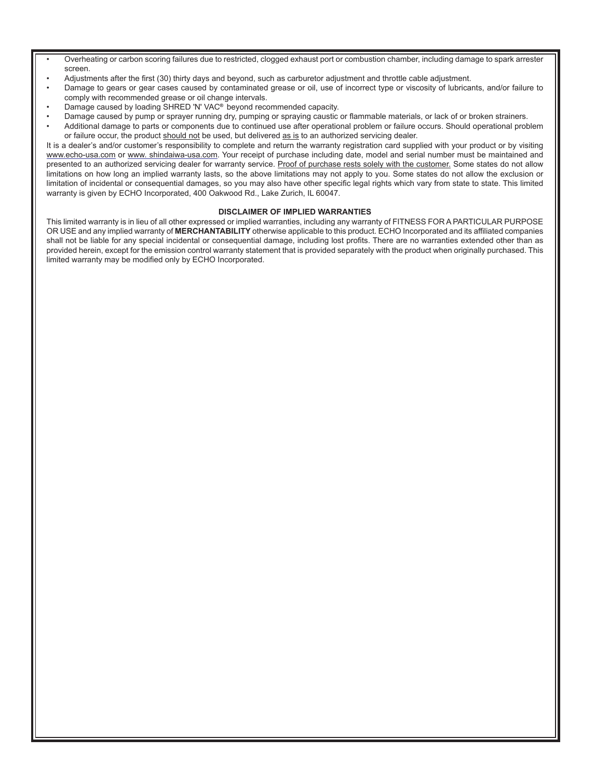- Overheating or carbon scoring failures due to restricted, clogged exhaust port or combustion chamber, including damage to spark arrester screen.
- Adjustments after the first (30) thirty days and beyond, such as carburetor adjustment and throttle cable adjustment.
- Damage to gears or gear cases caused by contaminated grease or oil, use of incorrect type or viscosity of lubricants, and/or failure to comply with recommended grease or oil change intervals.
- Damage caused by loading SHRED 'N' VAC**®** beyond recommended capacity.
- Damage caused by pump or sprayer running dry, pumping or spraying caustic or flammable materials, or lack of or broken strainers.
- Additional damage to parts or components due to continued use after operational problem or failure occurs. Should operational problem or failure occur, the product should not be used, but delivered as is to an authorized servicing dealer.

It is a dealer's and/or customer's responsibility to complete and return the warranty registration card supplied with your product or by visiting www.echo-usa.com or www. shindaiwa-usa.com. Your receipt of purchase including date, model and serial number must be maintained and presented to an authorized servicing dealer for warranty service. Proof of purchase rests solely with the customer. Some states do not allow limitations on how long an implied warranty lasts, so the above limitations may not apply to you. Some states do not allow the exclusion or limitation of incidental or consequential damages, so you may also have other specific legal rights which vary from state to state. This limited warranty is given by ECHO Incorporated, 400 Oakwood Rd., Lake Zurich, IL 60047.

#### **DISCLAIMER OF IMPLIED WARRANTIES**

This limited warranty is in lieu of all other expressed or implied warranties, including any warranty of FITNESS FOR A PARTICULAR PURPOSE OR USE and any implied warranty of **MERCHANTABILITY** otherwise applicable to this product. ECHO Incorporated and its affiliated companies shall not be liable for any special incidental or consequential damage, including lost profits. There are no warranties extended other than as provided herein, except for the emission control warranty statement that is provided separately with the product when originally purchased. This limited warranty may be modified only by ECHO Incorporated.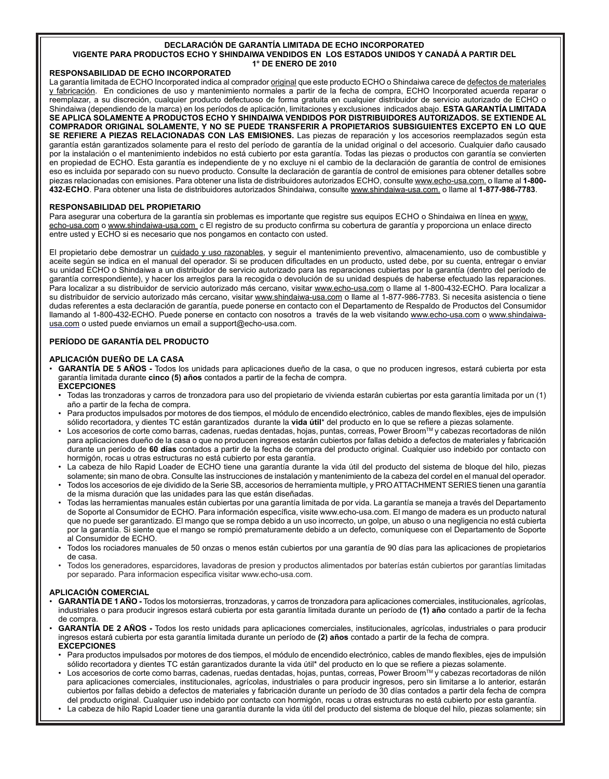#### **DECLARACIÓN DE GARANTÍA LIMITADA DE ECHO INCORPORATED VIGENTE PARA PRODUCTOS ECHO Y SHINDAIWA VENDIDOS EN LOS ESTADOS UNIDOS Y CANADÁ A PARTIR DEL 1° DE ENERO DE 2010**

## **RESPONSABILIDAD DE ECHO INCORPORATED**

La garantía limitada de ECHO Incorporated indica al comprador original que este producto ECHO o Shindaiwa carece de defectos de materiales y fabricación. En condiciones de uso y mantenimiento normales a partir de la fecha de compra, ECHO Incorporated acuerda reparar o reemplazar, a su discreción, cualquier producto defectuoso de forma gratuita en cualquier distribuidor de servicio autorizado de ECHO o Shindaiwa (dependiendo de la marca) en los períodos de aplicación, limitaciones y exclusiones indicados abajo. **ESTA GARANTÍA LIMITADA SE APLICA SOLAMENTE A PRODUCTOS ECHO Y SHINDAIWA VENDIDOS POR DISTRIBUIDORES AUTORIZADOS. SE EXTIENDE AL COMPRADOR ORIGINAL SOLAMENTE, Y NO SE PUEDE TRANSFERIR A PROPIETARIOS SUBSIGUIENTES EXCEPTO EN LO QUE SE REFIERE A PIEZAS RELACIONADAS CON LAS EMISIONES.** Las piezas de reparación y los accesorios reemplazados según esta garantía están garantizados solamente para el resto del período de garantía de la unidad original o del accesorio. Cualquier daño causado por la instalación o el mantenimiento indebidos no está cubierto por esta garantía. Todas las piezas o productos con garantía se convierten en propiedad de ECHO. Esta garantía es independiente de y no excluye ni el cambio de la declaración de garantía de control de emisiones eso es incluida por separado con su nuevo producto. Consulte la declaración de garantía de control de emisiones para obtener detalles sobre piezas relacionadas con emisiones. Para obtener una lista de distribuidores autorizados ECHO, consulte www.echo-usa.com. o llame al **1-800- 432-ECHO**. Para obtener una lista de distribuidores autorizados Shindaiwa, consulte www.shindaiwa-usa.com. o llame al **1-877-986-7783**.

## **RESPONSABILIDAD DEL PROPIETARIO**

Para asegurar una cobertura de la garantía sin problemas es importante que registre sus equipos ECHO o Shindaiwa en línea en www. echo-usa.com o www.shindaiwa-usa.com c El registro de su producto confirma su cobertura de garantía y proporciona un enlace directo entre usted y ECHO si es necesario que nos pongamos en contacto con usted.

El propietario debe demostrar un cuidado y uso razonables, y seguir el mantenimiento preventivo, almacenamiento, uso de combustible y aceite según se indica en el manual del operador. Si se producen dificultades en un producto, usted debe, por su cuenta, entregar o enviar su unidad ECHO o Shindaiwa a un distribuidor de servicio autorizado para las reparaciones cubiertas por la garantía (dentro del período de garantía correspondiente), y hacer los arreglos para la recogida o devolución de su unidad después de haberse efectuado las reparaciones. Para localizar a su distribuidor de servicio autorizado más cercano, visitar www.echo-usa.com o llame al 1-800-432-ECHO. Para localizar a su distribuidor de servicio autorizado más cercano, visitar www.shindaiwa-usa.com o llame al 1-877-986-7783. Si necesita asistencia o tiene dudas referentes a esta declaración de garantía, puede ponerse en contacto con el Departamento de Respaldo de Productos del Consumidor llamando al 1-800-432-ECHO. Puede ponerse en contacto con nosotros a través de la web visitando www.echo-usa.com o www.shindaiwausa.com o usted puede enviarnos un email a support@echo-usa.com.

## **PERÍODO DE GARANTÍA DEL PRODUCTO**

# **APLICACIÓN DUEÑO DE LA CASA**

- **GARANTÍA DE 5 AÑOS** Todos los unidads para aplicaciones dueño de la casa, o que no producen ingresos, estará cubierta por esta garantía limitada durante **cinco (5) años** contados a partir de la fecha de compra. **EXCEPCIONES** 
	- Todas las tronzadoras y carros de tronzadora para uso del propietario de vivienda estarán cubiertas por esta garantía limitada por un (1) año a partir de la fecha de compra.
	- Para productos impulsados por motores de dos tiempos, el módulo de encendido electrónico, cables de mando flexibles, ejes de impulsión sólido recortadora, y dientes TC están garantizados durante la **vida útil**\* del producto en lo que se refiere a piezas solamente.
	- Los accesorios de corte como barras, cadenas, ruedas dentadas, hojas, puntas, correas, Power BroomTM y cabezas recortadoras de nilón para aplicaciones dueño de la casa o que no producen ingresos estarán cubiertos por fallas debido a defectos de materiales y fabricación durante un período de **60 días** contados a partir de la fecha de compra del producto original. Cualquier uso indebido por contacto con hormigón, rocas u otras estructuras no está cubierto por esta garantía.
	- La cabeza de hilo Rapid Loader de ECHO tiene una garantía durante la vida útil del producto del sistema de bloque del hilo, piezas solamente; sin mano de obra. Consulte las instrucciones de instalación y mantenimiento de la cabeza del cordel en el manual del operador.
	- Todos los accesorios de eje dividido de la Serie SB, accesorios de herramienta multiple, y PRO ATTACHMENT SERIES tienen una garantía de la misma duración que las unidades para las que están diseñadas.
	- Todas las herramientas manuales están cubiertas por una garantía limitada de por vida. La garantía se maneja a través del Departamento de Soporte al Consumidor de ECHO. Para información específica, visite www.echo-usa.com. El mango de madera es un producto natural que no puede ser garantizado. El mango que se rompa debido a un uso incorrecto, un golpe, un abuso o una negligencia no está cubierta por la garantía. Si siente que el mango se rompió prematuramente debido a un defecto, comuníquese con el Departamento de Soporte al Consumidor de ECHO.
	- Todos los rociadores manuales de 50 onzas o menos están cubiertos por una garantía de 90 días para las aplicaciones de propietarios de casa.
	- Todos los generadores, esparcidores, lavadoras de presion y productos alimentados por baterías están cubiertos por garantías limitadas por separado. Para informacion especifica visitar www.echo-usa.com.

#### **APLICACIÓN COMERCIAL**

- **GARANTÍA DE 1 AÑO** Todos los motorsierras, tronzadoras, y carros de tronzadora para aplicaciones comerciales, institucionales, agrícolas, industriales o para producir ingresos estará cubierta por esta garantía limitada durante un período de **(1) año** contado a partir de la fecha de compra.
- **GARANTÍA DE 2 AÑOS** Todos los resto unidads para aplicaciones comerciales, institucionales, agrícolas, industriales o para producir ingresos estará cubierta por esta garantía limitada durante un período de **(2) años** contado a partir de la fecha de compra. **EXCEPCIONES** 
	- Para productos impulsados por motores de dos tiempos, el módulo de encendido electrónico, cables de mando flexibles, ejes de impulsión sólido recortadora y dientes TC están garantizados durante la vida útil\* del producto en lo que se refiere a piezas solamente.
- Los accesorios de corte como barras, cadenas, ruedas dentadas, hojas, puntas, correas, Power BroomTM y cabezas recortadoras de nilón para aplicaciones comerciales, institucionales, agrícolas, industriales o para producir ingresos, pero sin limitarse a lo anterior, estarán cubiertos por fallas debido a defectos de materiales y fabricación durante un período de 30 días contados a partir dela fecha de compra del producto original. Cualquier uso indebido por contacto con hormigón, rocas u otras estructuras no está cubierto por esta garantía.
- La cabeza de hilo Rapid Loader tiene una garantía durante la vida útil del producto del sistema de bloque del hilo, piezas solamente; sin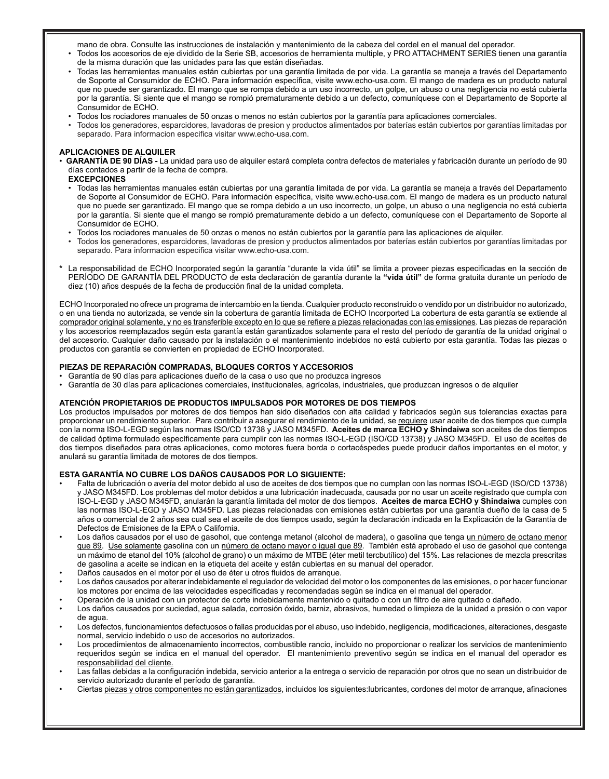mano de obra. Consulte las instrucciones de instalación y mantenimiento de la cabeza del cordel en el manual del operador.

- Todos los accesorios de eje dividido de la Serie SB, accesorios de herramienta multiple, y PRO ATTACHMENT SERIES tienen una garantía de la misma duración que las unidades para las que están diseñadas.
- Todas las herramientas manuales están cubiertas por una garantía limitada de por vida. La garantía se maneja a través del Departamento de Soporte al Consumidor de ECHO. Para información específica, visite www.echo-usa.com. El mango de madera es un producto natural que no puede ser garantizado. El mango que se rompa debido a un uso incorrecto, un golpe, un abuso o una negligencia no está cubierta por la garantía. Si siente que el mango se rompió prematuramente debido a un defecto, comuníquese con el Departamento de Soporte al Consumidor de ECHO.
- Todos los rociadores manuales de 50 onzas o menos no están cubiertos por la garantía para aplicaciones comerciales.
- Todos los generadores, esparcidores, lavadoras de presion y productos alimentados por baterías están cubiertos por garantías limitadas por separado. Para informacion especifica visitar www.echo-usa.com.

# **APLICACIONES DE ALQUILER**

• **GARANTÍA DE 90 DÍAS -** La unidad para uso de alquiler estará completa contra defectos de materiales y fabricación durante un período de 90 días contados a partir de la fecha de compra.

## **EXCEPCIONES**

- Todas las herramientas manuales están cubiertas por una garantía limitada de por vida. La garantía se maneja a través del Departamento de Soporte al Consumidor de ECHO. Para información específica, visite www.echo-usa.com. El mango de madera es un producto natural que no puede ser garantizado. El mango que se rompa debido a un uso incorrecto, un golpe, un abuso o una negligencia no está cubierta por la garantía. Si siente que el mango se rompió prematuramente debido a un defecto, comuníquese con el Departamento de Soporte al Consumidor de ECHO.
- Todos los rociadores manuales de 50 onzas o menos no están cubiertos por la garantía para las aplicaciones de alquiler.
- Todos los generadores, esparcidores, lavadoras de presion y productos alimentados por baterías están cubiertos por garantías limitadas por separado. Para informacion especifica visitar www.echo-usa.com.
- **\*** La responsabilidad de ECHO Incorporated según la garantía "durante la vida útil" se limita a proveer piezas especificadas en la sección de PERÍODO DE GARANTÍA DEL PRODUCTO de esta declaración de garantía durante la **"vida útil"** de forma gratuita durante un período de diez (10) años después de la fecha de producción final de la unidad completa.

ECHO Incorporated no ofrece un programa de intercambio en la tienda. Cualquier producto reconstruido o vendido por un distribuidor no autorizado, o en una tienda no autorizada, se vende sin la cobertura de garantía limitada de ECHO Incorported La cobertura de esta garantía se extiende al comprador original solamente, y no es transferible excepto en lo que se refiere a piezas relacionadas con las emissiones. Las piezas de reparación y los accesorios reemplazados según esta garantía están garantizados solamente para el resto del período de garantía de la unidad original o del accesorio. Cualquier daño causado por la instalación o el mantenimiento indebidos no está cubierto por esta garantía. Todas las piezas o productos con garantía se convierten en propiedad de ECHO Incorporated.

#### **PIEZAS DE REPARACIÓN COMPRADAS, BLOQUES CORTOS Y ACCESORIOS**

- Garantía de 90 días para aplicaciones dueño de la casa o uso que no produzca ingresos
- Garantía de 30 días para aplicaciones comerciales, institucionales, agrícolas, industriales, que produzcan ingresos o de alquiler

#### **ATENCIÓN PROPIETARIOS DE PRODUCTOS IMPULSADOS POR MOTORES DE DOS TIEMPOS**

Los productos impulsados por motores de dos tiempos han sido diseñados con alta calidad y fabricados según sus tolerancias exactas para proporcionar un rendimiento superior. Para contribuir a asegurar el rendimiento de la unidad, se requiere usar aceite de dos tiempos que cumpla con la norma ISO-L-EGD según las normas ISO/CD 13738 y JASO M345FD. **Aceites de marca ECHO y Shindaiwa** son aceites de dos tiempos de calidad óptima formulado específicamente para cumplir con las normas ISO-L-EGD (ISO/CD 13738) y JASO M345FD. El uso de aceites de dos tiempos diseñados para otras aplicaciones, como motores fuera borda o cortacéspedes puede producir daños importantes en el motor, y anulará su garantía limitada de motores de dos tiempos.

#### **ESTA GARANTÍA NO CUBRE LOS DAÑOS CAUSADOS POR LO SIGUIENTE:**

- Falta de lubricación o avería del motor debido al uso de aceites de dos tiempos que no cumplan con las normas ISO-L-EGD (ISO/CD 13738) y JASO M345FD. Los problemas del motor debidos a una lubricación inadecuada, causada por no usar un aceite registrado que cumpla con ISO-L-EGD y JASO M345FD, anularán la garantía limitada del motor de dos tiempos. **Aceites de marca ECHO y Shindaiwa** cumples con las normas ISO-L-EGD y JASO M345FD. Las piezas relacionadas con emisiones están cubiertas por una garantía dueño de la casa de 5 años o comercial de 2 años sea cual sea el aceite de dos tiempos usado, según la declaración indicada en la Explicación de la Garantía de Defectos de Emisiones de la EPA o California.
- Los daños causados por el uso de gasohol, que contenga metanol (alcohol de madera), o gasolina que tenga un número de octano menor que 89. Use solamente gasolina con un número de octano mayor o igual que 89. También está aprobado el uso de gasohol que contenga un máximo de etanol del 10% (alcohol de grano) o un máximo de MTBE (éter metil tercbutílico) del 15%. Las relaciones de mezcla prescritas de gasolina a aceite se indican en la etiqueta del aceite y están cubiertas en su manual del operador.
- Daños causados en el motor por el uso de éter u otros fluidos de arranque.
- Los daños causados por alterar indebidamente el regulador de velocidad del motor o los componentes de las emisiones, o por hacer funcionar los motores por encima de las velocidades especificadas y recomendadas según se indica en el manual del operador.
- Operación de la unidad con un protector de corte indebidamente mantenido o quitado o con un filtro de aire quitado o dañado.
- Los daños causados por suciedad, agua salada, corrosión óxido, barniz, abrasivos, humedad o limpieza de la unidad a presión o con vapor de agua.
- Los defectos, funcionamientos defectuosos o fallas producidas por el abuso, uso indebido, negligencia, modificaciones, alteraciones, desgaste normal, servicio indebido o uso de accesorios no autorizados.
- Los procedimientos de almacenamiento incorrectos, combustible rancio, incluido no proporcionar o realizar los servicios de mantenimiento requeridos según se indica en el manual del operador. El mantenimiento preventivo según se indica en el manual del operador es responsabilidad del cliente.
- Las fallas debidas a la configuración indebida, servicio anterior a la entrega o servicio de reparación por otros que no sean un distribuidor de servicio autorizado durante el período de garantía.
- Ciertas piezas y otros componentes no están garantizados, incluidos los siguientes:lubricantes, cordones del motor de arranque, afinaciones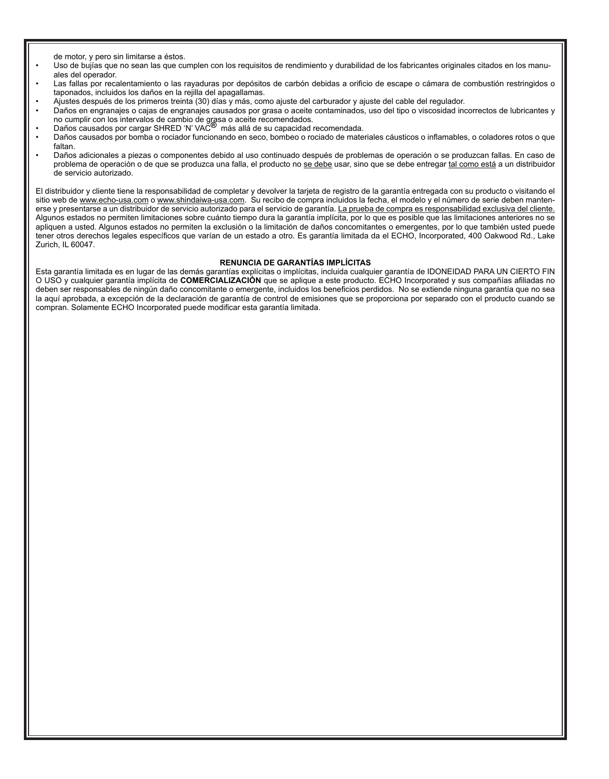de motor, y pero sin limitarse a éstos.

- Uso de bujías que no sean las que cumplen con los requisitos de rendimiento y durabilidad de los fabricantes originales citados en los manuales del operador.
- Las fallas por recalentamiento o las rayaduras por depósitos de carbón debidas a orificio de escape o cámara de combustión restringidos o taponados, incluidos los daños en la rejilla del apagallamas.
- Ajustes después de los primeros treinta (30) días y más, como ajuste del carburador y ajuste del cable del regulador.
- Daños en engranajes o cajas de engranajes causados por grasa o aceite contaminados, uso del tipo o viscosidad incorrectos de lubricantes y
- no cumplir con los intervalos de cambio de grasa o aceite recomendados. Daños causados por cargar SHRED 'N' VAC**®** más allá de su capacidad recomendada.
- Daños causados por bomba o rociador funcionando en seco, bombeo o rociado de materiales cáusticos o inflamables, o coladores rotos o que faltan.
- Daños adicionales a piezas o componentes debido al uso continuado después de problemas de operación o se produzcan fallas. En caso de problema de operación o de que se produzca una falla, el producto no se debe usar, sino que se debe entregar tal como está a un distribuidor de servicio autorizado.

El distribuidor y cliente tiene la responsabilidad de completar y devolver la tarjeta de registro de la garantía entregada con su producto o visitando el sitio web de www.echo-usa.com o www.shindaiwa-usa.com. Su recibo de compra incluidos la fecha, el modelo y el número de serie deben mantenerse y presentarse a un distribuidor de servicio autorizado para el servicio de garantía. La prueba de compra es responsabilidad exclusiva del cliente. Algunos estados no permiten limitaciones sobre cuánto tiempo dura la garantía implícita, por lo que es posible que las limitaciones anteriores no se apliquen a usted. Algunos estados no permiten la exclusión o la limitación de daños concomitantes o emergentes, por lo que también usted puede tener otros derechos legales específicos que varían de un estado a otro. Es garantía limitada da el ECHO, Incorporated, 400 Oakwood Rd., Lake Zurich, IL 60047.

#### **RENUNCIA DE GARANTÍAS IMPLÍCITAS**

Esta garantía limitada es en lugar de las demás garantías explícitas o implícitas, incluida cualquier garantía de IDONEIDAD PARA UN CIERTO FIN O USO y cualquier garantía implícita de **COMERCIALIZACIÓN** que se aplique a este producto. ECHO Incorporated y sus compañías afiliadas no deben ser responsables de ningún daño concomitante o emergente, incluidos los beneficios perdidos. No se extiende ninguna garantía que no sea la aquí aprobada, a excepción de la declaración de garantía de control de emisiones que se proporciona por separado con el producto cuando se compran. Solamente ECHO Incorporated puede modificar esta garantía limitada.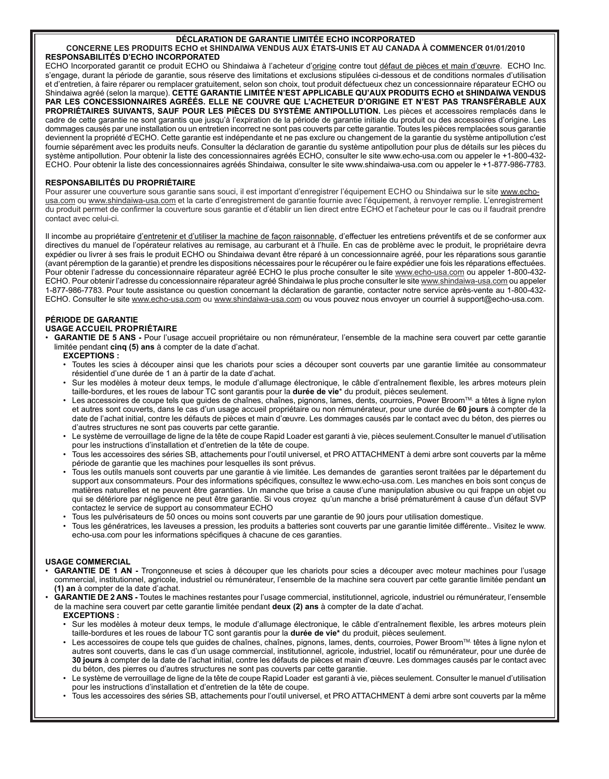## **DÉCLARATION DE GARANTIE LIMITÉE ECHO INCORPORATED**

# **CONCERNE LES PRODUITS ECHO et SHINDAIWA VENDUS AUX ÉTATS-UNIS ET AU CANADA À COMMENCER 01/01/2010 RESPONSABILITÉS D'ECHO INCORPORATED**

ECHO Incorporated garantit ce produit ECHO ou Shindaiwa à l'acheteur d'origine contre tout défaut de pièces et main d'œuvre. ECHO Inc. s'engage, durant la période de garantie, sous réserve des limitations et exclusions stipulées ci-dessous et de conditions normales d'utilisation et d'entretien, à faire réparer ou remplacer gratuitement, selon son choix, tout produit défectueux chez un concessionnaire réparateur ECHO ou Shindaiwa agréé (selon la marque). **CETTE GARANTIE LIMITÉE N'EST APPLICABLE QU'AUX PRODUITS ECHO et SHINDAIWA VENDUS PAR LES CONCESSIONNAIRES AGRÉÉS. ELLE NE COUVRE QUE L'ACHETEUR D'ORIGINE ET N'EST PAS TRANSFÉRABLE AUX PROPRIÉTAIRES SUIVANTS, SAUF POUR LES PIÈCES DU SYSTÈME ANTIPOLLUTION.** Les pièces et accessoires remplacés dans le cadre de cette garantie ne sont garantis que jusqu'à l'expiration de la période de garantie initiale du produit ou des accessoires d'origine. Les dommages causés par une installation ou un entretien incorrect ne sont pas couverts par cette garantie. Toutes les pièces remplacées sous garantie deviennent la propriété d'ECHO. Cette garantie est indépendante et ne pas exclure ou changement de la garantie du système antipollution c'est fournie séparément avec les produits neufs. Consulter la déclaration de garantie du système antipollution pour plus de détails sur les pièces du système antipollution. Pour obtenir la liste des concessionnaires agréés ECHO, consulter le site www.echo-usa.com ou appeler le +1-800-432- ECHO. Pour obtenir la liste des concessionnaires agréés Shindaiwa, consulter le site www.shindaiwa-usa.com ou appeler le +1-877-986-7783.

# **RESPONSABILITÉS DU PROPRIÉTAIRE**

Pour assurer une couverture sous garantie sans souci, il est important d'enregistrer l'équipement ECHO ou Shindaiwa sur le site www.echousa.com ou www.shindaiwa-usa.com et la carte d'enregistrement de garantie fournie avec l'équipement, à renvoyer remplie. L'enregistrement du produit permet de confirmer la couverture sous garantie et d'établir un lien direct entre ECHO et l'acheteur pour le cas ou il faudrait prendre contact avec celui-ci.

Il incombe au propriétaire d'entretenir et d'utiliser la machine de façon raisonnable, d'effectuer les entretiens préventifs et de se conformer aux directives du manuel de l'opérateur relatives au remisage, au carburant et à l'huile. En cas de problème avec le produit, le propriétaire devra expédier ou livrer à ses frais le produit ECHO ou Shindaiwa devant être réparé à un concessionnaire agréé, pour les réparations sous garantie (avant péremption de la garantie) et prendre les dispositions nécessaires pour le récupérer ou le faire expédier une fois les réparations effectuées. Pour obtenir l'adresse du concessionnaire réparateur agréé ECHO le plus proche consulter le site www.echo-usa.com ou appeler 1-800-432-ECHO. Pour obtenir l'adresse du concessionnaire réparateur agréé Shindaiwa le plus proche consulter le site www.shindaiwa-usa.com ou appeler 1-877-986-7783. Pour toute assistance ou question concernant la déclaration de garantie, contacter notre service après-vente au 1-800-432- ECHO. Consulter le site www.echo-usa.com ou www.shindaiwa-usa.com ou vous pouvez nous envoyer un courriel à support@echo-usa.com.

# **PÉRIODE DE GARANTIE**

# **USAGE ACCUEIL PROPRIÉTAIRE**

• **GARANTIE DE 5 ANS -** Pour l'usage accueil propriétaire ou non rémunérateur, l'ensemble de la machine sera couvert par cette garantie limitée pendant **cinq (5) ans** à compter de la date d'achat.

## **EXCEPTIONS :**

- Toutes les scies à découper ainsi que les chariots pour scies a découper sont couverts par une garantie limitée au consommateur résidentiel d'une durée de 1 an à partir de la date d'achat.
- Sur les modèles à moteur deux temps, le module d'allumage électronique, le câble d'entraînement flexible, les arbres moteurs plein taille-bordures, et les roues de labour TC sont garantis pour la **durée de vie**\* du produit, pièces seulement.
- Les accessoires de coupe tels que guides de chaînes, chaînes, pignons, lames, dents, courroies, Power BroomTM, a têtes à ligne nylon et autres sont couverts, dans le cas d'un usage accueil propriétaire ou non rémunérateur, pour une durée de **60 jours** à compter de la date de l'achat initial, contre les défauts de pièces et main d'œuvre. Les dommages causés par le contact avec du béton, des pierres ou d'autres structures ne sont pas couverts par cette garantie.
- Le système de verrouillage de ligne de la tête de coupe Rapid Loader est garanti à vie, pièces seulement.Consulter le manuel d'utilisation pour les instructions d'installation et d'entretien de la tête de coupe.
- Tous les accessoires des séries SB, attachements pour l'outil universel, et PRO ATTACHMENT à demi arbre sont couverts par la même période de garantie que les machines pour lesquelles ils sont prévus.
- Tous les outils manuels sont couverts par une garantie à vie limitée. Les demandes de garanties seront traitées par le département du support aux consommateurs. Pour des informations spécifiques, consultez le www.echo-usa.com. Les manches en bois sont conçus de matières naturelles et ne peuvent être garanties. Un manche que brise a cause d'une manipulation abusive ou qui frappe un objet ou qui se détériore par négligence ne peut être garantie. Si vous croyez qu'un manche a brisé prématurément à cause d'un défaut SVP contactez le service de support au consommateur ECHO
- Tous les pulvérisateurs de 50 onces ou moins sont couverts par une garantie de 90 jours pour utilisation domestique.
- Tous les génératrices, les laveuses a pression, les produits a batteries sont couverts par une garantie limitée différente.. Visitez le www. echo-usa.com pour les informations spécifiques à chacune de ces garanties.

#### **USAGE COMMERCIAL**

- **GARANTIE DE 1 AN** Tronçonneuse et scies à découper que les chariots pour scies a découper avec moteur machines pour l'usage commercial, institutionnel, agricole, industriel ou rémunérateur, l'ensemble de la machine sera couvert par cette garantie limitée pendant **un (1) an** à compter de la date d'achat.
- GARANTIE DE 2 ANS Toutes le machines restantes pour l'usage commercial, institutionnel, agricole, industriel ou rémunérateur, l'ensemble de la machine sera couvert par cette garantie limitée pendant **deux (2) ans** à compter de la date d'achat.

## **EXCEPTIONS :**

- Sur les modèles à moteur deux temps, le module d'allumage électronique, le câble d'entraînement flexible, les arbres moteurs plein taille-bordures et les roues de labour TC sont garantis pour la **durée de vie\*** du produit, pièces seulement.
- Les accessoires de coupe tels que guides de chaînes, chaînes, pignons, lames, dents, courroies, Power Broom™ têtes à ligne nylon et autres sont couverts, dans le cas d'un usage commercial, institutionnel, agricole, industriel, locatif ou rémunérateur, pour une durée de **30 jours** à compter de la date de l'achat initial, contre les défauts de pièces et main d'œuvre. Les dommages causés par le contact avec du béton, des pierres ou d'autres structures ne sont pas couverts par cette garantie.
- Le système de verrouillage de ligne de la tête de coupe Rapid Loader est garanti à vie, pièces seulement. Consulter le manuel d'utilisation pour les instructions d'installation et d'entretien de la tête de coupe.
- Tous les accessoires des séries SB, attachements pour l'outil universel, et PRO ATTACHMENT à demi arbre sont couverts par la même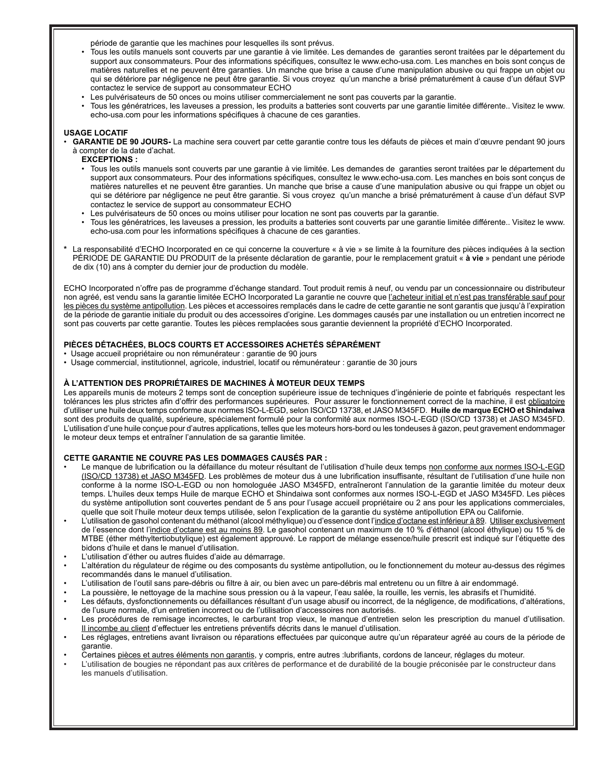période de garantie que les machines pour lesquelles ils sont prévus.

- Tous les outils manuels sont couverts par une garantie à vie limitée. Les demandes de garanties seront traitées par le département du support aux consommateurs. Pour des informations spécifiques, consultez le www.echo-usa.com. Les manches en bois sont conçus de matières naturelles et ne peuvent être garanties. Un manche que brise a cause d'une manipulation abusive ou qui frappe un objet ou qui se détériore par négligence ne peut être garantie. Si vous croyez qu'un manche a brisé prématurément à cause d'un défaut SVP contactez le service de support au consommateur ECHO
- Les pulvérisateurs de 50 onces ou moins utiliser commercialement ne sont pas couverts par la garantie.
- Tous les génératrices, les laveuses a pression, les produits a batteries sont couverts par une garantie limitée différente.. Visitez le www. echo-usa.com pour les informations spécifiques à chacune de ces garanties.

## **USAGE LOCATIF**

- **GARANTIE DE 90 JOURS-** La machine sera couvert par cette garantie contre tous les défauts de pièces et main d'œuvre pendant 90 jours à compter de la date d'achat.
	- **EXCEPTIONS :**
	- Tous les outils manuels sont couverts par une garantie à vie limitée. Les demandes de garanties seront traitées par le département du support aux consommateurs. Pour des informations spécifiques, consultez le www.echo-usa.com. Les manches en bois sont conçus de matières naturelles et ne peuvent être garanties. Un manche que brise a cause d'une manipulation abusive ou qui frappe un objet ou qui se détériore par négligence ne peut être garantie. Si vous croyez qu'un manche a brisé prématurément à cause d'un défaut SVP contactez le service de support au consommateur ECHO
	- Les pulvérisateurs de 50 onces ou moins utiliser pour location ne sont pas couverts par la garantie.
	- Tous les génératrices, les laveuses a pression, les produits a batteries sont couverts par une garantie limitée différente.. Visitez le www. echo-usa.com pour les informations spécifiques à chacune de ces garanties.
- La responsabilité d'ECHO Incorporated en ce qui concerne la couverture « à vie » se limite à la fourniture des pièces indiquées à la section PÉRIODE DE GARANTIE DU PRODUIT de la présente déclaration de garantie, pour le remplacement gratuit « **à vie** » pendant une période de dix (10) ans à compter du dernier jour de production du modèle.

ECHO Incorporated n'offre pas de programme d'échange standard. Tout produit remis à neuf, ou vendu par un concessionnaire ou distributeur non agréé, est vendu sans la garantie limitée ECHO Incorporated La garantie ne couvre que l'acheteur initial et n'est pas transférable sauf pour les pièces du système antipollution. Les pièces et accessoires remplacés dans le cadre de cette garantie ne sont garantis que jusqu'à l'expiration de la période de garantie initiale du produit ou des accessoires d'origine. Les dommages causés par une installation ou un entretien incorrect ne sont pas couverts par cette garantie. Toutes les pièces remplacées sous garantie deviennent la propriété d'ECHO Incorporated.

# **PIÈCES DÉTACHÉES, BLOCS COURTS ET ACCESSOIRES ACHETÉS SÉPARÉMENT**

- Usage accueil propriétaire ou non rémunérateur : garantie de 90 jours
- Usage commercial, institutionnel, agricole, industriel, locatif ou rémunérateur : garantie de 30 jours

#### **À L'ATTENTION DES PROPRIÉTAIRES DE MACHINES À MOTEUR DEUX TEMPS**

Les appareils munis de moteurs 2 temps sont de conception supérieure issue de techniques d'ingénierie de pointe et fabriqués respectant les tolérances les plus strictes afin d'offrir des performances supérieures. Pour assurer le fonctionnement correct de la machine, il est obligatoire d'utiliser une huile deux temps conforme aux normes ISO-L-EGD, selon ISO/CD 13738, et JASO M345FD. **Huile de marque ECHO et Shindaiwa** sont des produits de qualité, supérieure, spécialement formulé pour la conformité aux normes ISO-L-EGD (ISO/CD 13738) et JASO M345FD. L'utilisation d'une huile conçue pour d'autres applications, telles que les moteurs hors-bord ou les tondeuses à gazon, peut gravement endommager le moteur deux temps et entraîner l'annulation de sa garantie limitée.

## **CETTE GARANTIE NE COUVRE PAS LES DOMMAGES CAUSÉS PAR :**

- Le manque de lubrification ou la défaillance du moteur résultant de l'utilisation d'huile deux temps non conforme aux normes ISO-L-EGD (ISO/CD 13738) et JASO M345FD. Les problèmes de moteur dus à une lubrification insuffisante, résultant de l'utilisation d'une huile non conforme à la norme ISO-L-EGD ou non homologuée JASO M345FD, entraîneront l'annulation de la garantie limitée du moteur deux temps. L'huiles deux temps Huile de marque ECHO et Shindaiwa sont conformes aux normes ISO-L-EGD et JASO M345FD. Les pièces du système antipollution sont couvertes pendant de 5 ans pour l'usage accueil propriétaire ou 2 ans pour les applications commerciales, quelle que soit l'huile moteur deux temps utilisée, selon l'explication de la garantie du système antipollution EPA ou Californie.
- L'utilisation de gasohol contenant du méthanol (alcool méthylique) ou d'essence dont l'indice d'octane est inférieur à 89. Utiliser exclusivement de l'essence dont l'indice d'octane est au moins 89. Le gasohol contenant un maximum de 10 % d'éthanol (alcool éthylique) ou 15 % de MTBE (éther méthyltertiobutylique) est également approuvé. Le rapport de mélange essence/huile prescrit est indiqué sur l'étiquette des bidons d'huile et dans le manuel d'utilisation.
- L'utilisation d'éther ou autres fluides d'aide au démarrage.
- L'altération du régulateur de régime ou des composants du système antipollution, ou le fonctionnement du moteur au-dessus des régimes recommandés dans le manuel d'utilisation.
- L'utilisation de l'outil sans pare-débris ou filtre à air, ou bien avec un pare-débris mal entretenu ou un filtre à air endommagé.
- La poussière, le nettoyage de la machine sous pression ou à la vapeur, l'eau salée, la rouille, les vernis, les abrasifs et l'humidité.
- Les défauts, dysfonctionnements ou défaillances résultant d'un usage abusif ou incorrect, de la négligence, de modifications, d'altérations, de l'usure normale, d'un entretien incorrect ou de l'utilisation d'accessoires non autorisés.
- Les procédures de remisage incorrectes, le carburant trop vieux, le manque d'entretien selon les prescription du manuel d'utilisation. Il incombe au client d'effectuer les entretiens préventifs décrits dans le manuel d'utilisation.
- Les réglages, entretiens avant livraison ou réparations effectuées par quiconque autre qu'un réparateur agréé au cours de la période de garantie.
- Certaines pièces et autres éléments non garantis, y compris, entre autres :lubrifiants, cordons de lanceur, réglages du moteur.
- L'utilisation de bougies ne répondant pas aux critères de performance et de durabilité de la bougie préconisée par le constructeur dans les manuels d'utilisation.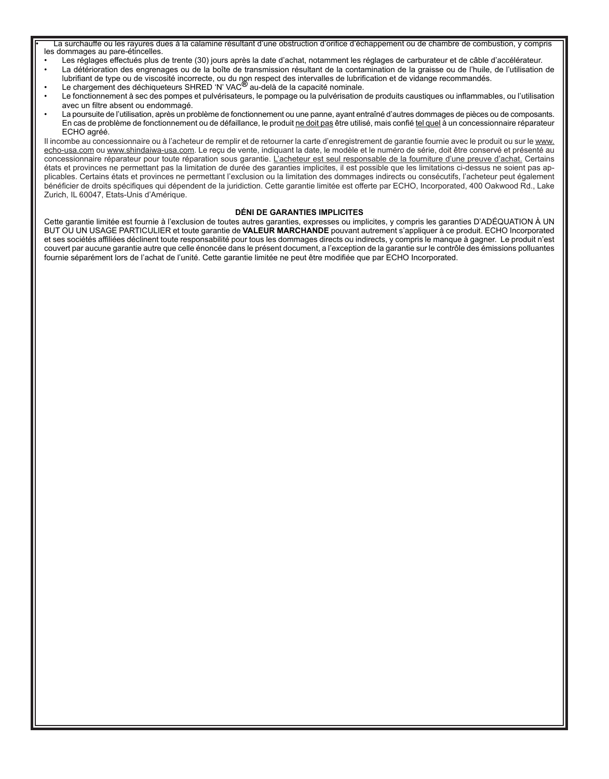• La surchauffe ou les rayures dues à la calamine résultant d'une obstruction d'orifice d'échappement ou de chambre de combustion, y compris les dommages au pare-étincelles.

- Les réglages effectués plus de trente (30) jours après la date d'achat, notamment les réglages de carburateur et de câble d'accélérateur. • La détérioration des engrenages ou de la boîte de transmission résultant de la contamination de la graisse ou de l'huile, de l'utilisation de lubrifiant de type ou de viscosité incorrecte, ou du non respect des intervalles de lubrification et de vidange recommandés. • Le chargement des déchiqueteurs SHRED 'N' VAC**®** au-delà de la capacité nominale.
- 
- Le fonctionnement à sec des pompes et pulvérisateurs, le pompage ou la pulvérisation de produits caustiques ou inflammables, ou l'utilisation avec un filtre absent ou endommagé.
- La poursuite de l'utilisation, après un problème de fonctionnement ou une panne, ayant entraîné d'autres dommages de pièces ou de composants. En cas de problème de fonctionnement ou de défaillance, le produit ne doit pas être utilisé, mais confié tel quel à un concessionnaire réparateur ECHO agréé.

Il incombe au concessionnaire ou à l'acheteur de remplir et de retourner la carte d'enregistrement de garantie fournie avec le produit ou sur le www. echo-usa.com ou www.shindaiwa-usa.com. Le reçu de vente, indiquant la date, le modèle et le numéro de série, doit être conservé et présenté au concessionnaire réparateur pour toute réparation sous garantie. L'acheteur est seul responsable de la fourniture d'une preuve d'achat. Certains états et provinces ne permettant pas la limitation de durée des garanties implicites, il est possible que les limitations ci-dessus ne soient pas applicables. Certains états et provinces ne permettant l'exclusion ou la limitation des dommages indirects ou consécutifs, l'acheteur peut également bénéficier de droits spécifiques qui dépendent de la juridiction. Cette garantie limitée est offerte par ECHO, Incorporated, 400 Oakwood Rd., Lake Zurich, IL 60047, Etats-Unis d'Amérique.

#### **DÉNI DE GARANTIES IMPLICITES**

Cette garantie limitée est fournie à l'exclusion de toutes autres garanties, expresses ou implicites, y compris les garanties D'ADÉQUATION À UN BUT OU UN USAGE PARTICULIER et toute garantie de **VALEUR MARCHANDE** pouvant autrement s'appliquer à ce produit. ECHO Incorporated et ses sociétés affiliées déclinent toute responsabilité pour tous les dommages directs ou indirects, y compris le manque à gagner. Le produit n'est couvert par aucune garantie autre que celle énoncée dans le présent document, a l'exception de la garantie sur le contrôle des émissions polluantes fournie séparément lors de l'achat de l'unité. Cette garantie limitée ne peut être modifiée que par ECHO Incorporated.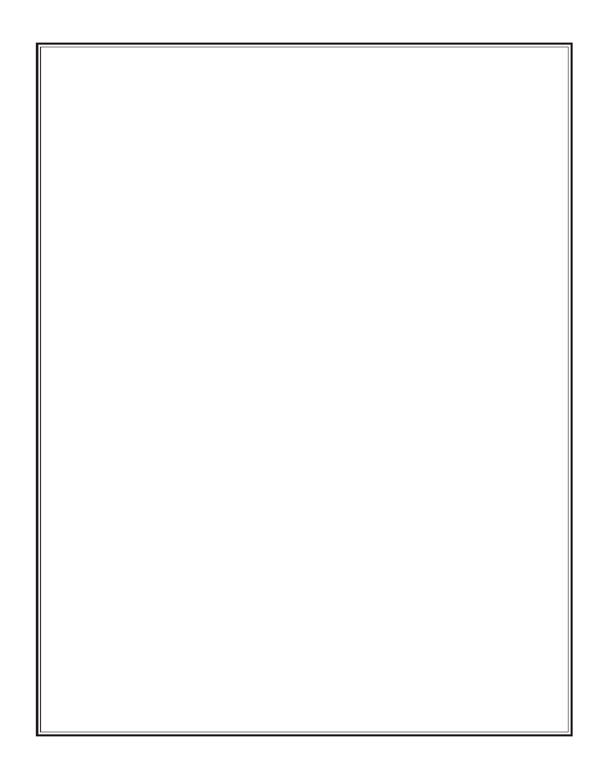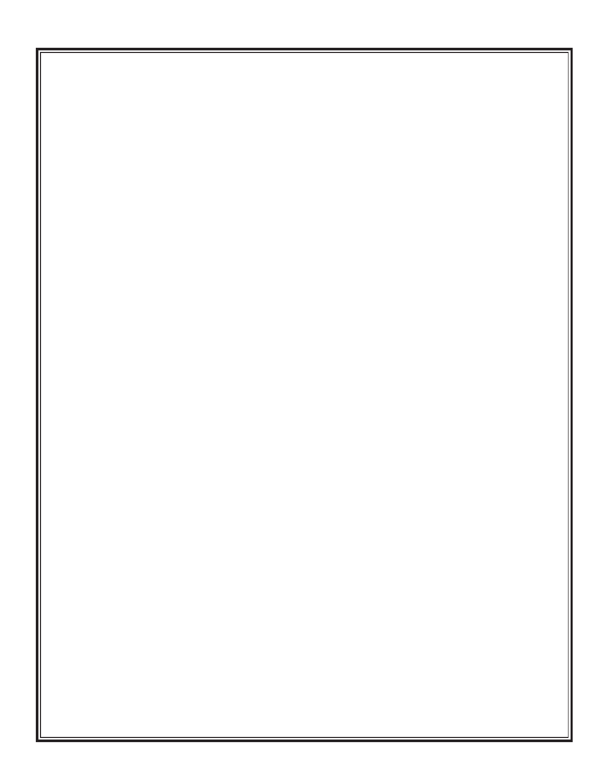